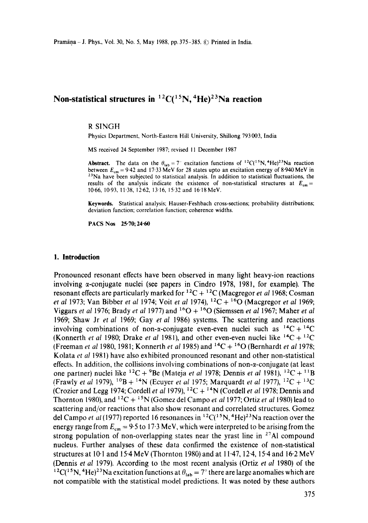# **Non-statistical structures in**  ${}^{12}C({}^{15}N, {}^{4}He){}^{23}Na$  **reaction**

#### R SINGH

Physics Department, North-Eastern Hill University, Shillong 793003, India

MS received 24 September 1987; revised 11 December 1987

**Abstract.** The data on the  $\theta_{\text{lab}} = 7$  excitation functions of <sup>12</sup>C(<sup>15</sup>N,<sup>4</sup>He)<sup>23</sup>Na reaction between  $E_{cm} = 9.42$  and 17.33 MeV for 28 states upto an excitation energy of 8.940 MeV in 23Na have been subjected to statistical analysis. In addition to statistical fluctuations, **the**  results of the analysis indicate the existence of non-statistical structures at  $E_{cm}$  = 10-66, 10.93, 11.38, 12-62, 13.16, 15.32 and 16.18 MeV.

**Keywords.** Statistical analysis; Hauser-Feshbach cross-sections; probability distributions; deviation function; correlation function; coherence widths.

**PACS Nos 25.70; 24.60** 

## **1. Introduction**

Pronounced resonant effects have been observed in many light heavy-ion reactions involving  $\alpha$ -conjugate nuclei (see papers in Cindro 1978, 1981, for example). The resonant effects are particularly marked for  ${}^{12}C + {}^{12}C$  (Macgregor *et al 1968*; Cosman *et al* 1973; Van Bibber *et al* 1974; Voit *et al* 1974), 12C + 160 (Macgregor *et al* 1969; Viggars *et al* 1976; Brady *et al* 1977) and 160 + 160 (Siemssen *et al* 1967; Maher *et al*  1969; Shaw Jr *et al* 1969; Gay *et al* 1986) systems. The scattering and reactions involving combinations of non- $\alpha$ -conjugate even-even nuclei such as  $^{14}C + ^{14}C$ (Konnerth *et al* 1980; Drake *et al* 1981), and other even-even nuclei like  $^{14}C + ^{12}C$ (Freeman *et al* 1980, 1981; Konnerth *et al* 1985) and 14C + 160 (Bernhardt *et al* 1978; Kolata *et a!* 1981) have also exhibited pronounced resonant and other non-statistical effects. In addition, the collisions involving combinations of non- $\alpha$ -conjugate (at least one partner) nuclei like <sup>12</sup>C + <sup>9</sup>Be (Mateja *et al* 1978; Dennis *et al* 1981), <sup>12</sup>C + <sup>11</sup>B (Frawly *et al* 1979), <sup>10</sup>B + <sup>14</sup>N (Ecuyer *et al* 1975; Marguardt *et al* 1977), <sup>12</sup>C + <sup>13</sup>C (Crozier and Legg 1974; Cordell *et al* 1979), 12C + 14N (Cordell *et al* t978; Dennis and Thornton 1980), and  ${}^{12}C + {}^{15}N$  (Gomez del Campo *et al 1977; Ortiz et al 1980*) lead to scattering and/or reactions that also show resonant and correlated structures. Gomez del Campo *et al* (1977) reported 16 resonances in <sup>12</sup>C(<sup>15</sup>N, <sup>4</sup>He)<sup>23</sup>Na reaction over the energy range from  $E_{cm} = 9.5$  to 17.3 MeV, which were interpreted to be arising from the strong population of non-overlapping states near the yrast line in  $27$ A1 compound nucleus. Further analyses of these data confirmed the existence of non-statistical structures at 10.1 and 15.4 MeV (Thornton 1980) and at 11.47, 12.4, 15.4 and 16.2 MeV (Dennis *et al* 1979). According to the most recent analysis (Ortiz *et al* 1980) of the <sup>12</sup>C(<sup>15</sup>N, <sup>4</sup>He)<sup>23</sup>Na excitation functions at  $\theta_{lab} = 7^\circ$  there are large anomalies which are not compatible with the statistical model predictions. It was noted by these authors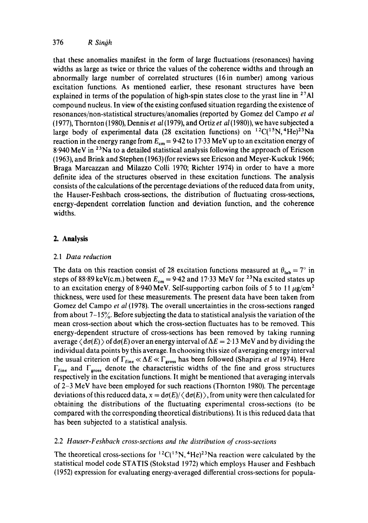that these anomalies manifest in the form of large fluctuations (resonances) having widths as large as twice or thrice the values of the coherence widths and through an abnormally large number of correlated structures (16in number) among various excitation functions. As mentioned earlier, these resonant structures have been explained in terms of the population of high-spin states close to the yrast line in  $27$ Al compound nucleus. In view of the existing confused situation regarding the existence of resonances/non-statistical structures/anomalies (reported by Gomez del Campo *et al*  (1977), Thornton (1980), Dennis *et al(1979),* and Ortiz *et al* (1980)), we have subjected a large body of experimental data (28 excitation functions) on  $^{12}C(^{15}N, ^{4}He)^{23}Na$ reaction in the energy range from  $E_{cm} = 9.42$  to 17.33 MeV up to an excitation energy of 8.940 MeV in 23Na to a detailed statistical analysis following the approach of Ericson (1963), and Brink and Stephen (1963) (for reviews see Ericson and Meyer-Kuckuk 1966; Braga Marcazzan and Milazzo Colli 1970; Richter 1974) in order to have a more definite idea of the structures observed in these excitation functions. The analysis consists of the calculations of the percentage deviations of the reduced data from unity, the Hauser-Feshbach cross-sections, the distribution of fluctuating cross-sections, energy-dependent correlation function and deviation function, and the coherence widths.

# **2. Analysis**

# *2.1 Data reduction*

The data on this reaction consist of 28 excitation functions measured at  $\theta_{lab} = 7^\circ$  in steps of 88.89 keV(c.m.) between  $E_{cm} = 9.42$  and 17.33 MeV for <sup>23</sup>Na excited states up to an excitation energy of 8.940 MeV. Self-supporting carbon foils of 5 to 11  $\mu$ g/cm<sup>2</sup> thickness, were used for these measurements. The present data have been taken from Gomez del Campo *et al* (1978). The overall uncertainties in the cross-sections ranged from about  $7-15\%$ . Before subjecting the data to statistical analysis the variation of the mean cross-section about which the cross-section fluctuates has to be removed. This energy-dependent structure of cross-sections has been removed by taking running average  $\langle d\sigma(E) \rangle$  of  $d\sigma(E)$  over an energy interval of  $\Delta E = 2.13$  MeV and by dividing the individual data points by this average. In choosing this size of averaging energy interval the usual criterion of  $\Gamma_{\text{fine}} \ll \Delta E \ll \Gamma_{\text{gross}}$  has been followed (Shapira *et al* 1974). Here  $\Gamma_{\text{fine}}$  and  $\Gamma_{\text{gross}}$  denote the characteristic widths of the fine and gross structures respectively in the excitation functions. It might be mentioned that averaging intervals of 2-3 MeV have been employed for such reactions (Thornton 1980). The percentage deviations of this reduced data,  $x = d\sigma(E)/\langle d\sigma(E) \rangle$ , from unity were then calculated for obtaining the distributions of the fluctuating experimental cross-sections (to be compared with the corresponding theoretical distributions). It is this reduced data that has been subjected to a statistical analysis.

# 2.2 *Hauser-Feshbach cross-sections and the distribution of cross-sections*

The theoretical cross-sections for  ${}^{12}C({}^{15}N, {}^{4}He){}^{23}Na$  reaction were calculated by the statistical model code STATIS (Stokstad 1972) which employs Hauser and Feshbach (1952) expression for evaluating energy-averaged differential cross-sections for popula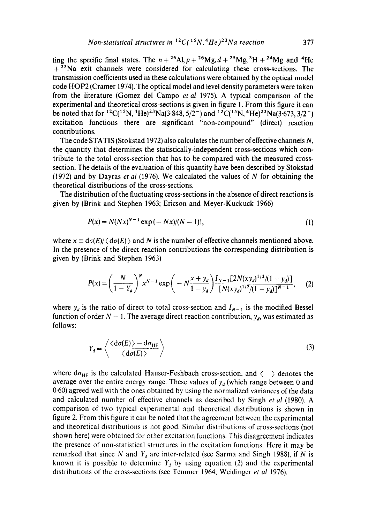ting the specific final states. The  $n + {}^{26}Al$ ,  $p + {}^{26}Mg$ ,  $d + {}^{25}Mg$ ,  ${}^{3}H + {}^{24}Mg$  and  ${}^{4}He$  $+$ <sup>23</sup>Na exit channels were considered for calculating these cross-sections. The transmission coefficients used in these calculations were obtained by the optical model code HOP2 (Cramer 1974). The optical model and level density parameters were taken from the literature (Gomez del Campo *et al* 1975). A typical comparison of the experimental and theoretical cross-sections is given in figure 1. From this figure it can be noted that for <sup>12</sup>C(<sup>15</sup>N, <sup>4</sup>He)<sup>23</sup>Na(3.848, 5/2<sup>-</sup>) and <sup>12</sup>C(<sup>15</sup>N, <sup>4</sup>He)<sup>23</sup>Na(3.673, 3/2<sup>-</sup>) excitation functions there are significant "non-compound" (direct) reaction contributions.

The code STATIS (Stokstad 1972) also calculates the number of effective channels N, the quantity that determines the statistically-independent cross-sections which contribute to the total cross-section that has to be compared with the measured crosssection. The details of the evaluation of this quantity have been described by Stokstad (1972) and by Dayras *et al* 0976). We calculated the values of N for obtaining the theoretical distributions of the cross-sections.

The distribution of the fluctuating cross-sections in the absence of direct reactions is given by (Brink and Stephen 1963; Ericson and Meyer-Kuckuck 1966)

$$
P(x) = N(Nx)^{N-1} \exp(-Nx)/(N-1)!,
$$
\n(1)

where  $x \equiv d\sigma(E)/\langle d\sigma(E) \rangle$  and N is the number of effective channels mentioned above. In the presence of the direct reaction contributions the corresponding distribution is given by (Brink and Stephen 1963)

$$
P(x) = \left(\frac{N}{1 - Y_d}\right)^N x^{N-1} \exp\left(-N\frac{x + y_d}{1 - y_d}\right) \frac{I_{N-1}[2N(xy_d)^{1/2}/(1 - y_d)]}{[N(xy_d)^{1/2}/(1 - y_d)]^{N-1}},\tag{2}
$$

where  $y_d$  is the ratio of direct to total cross-section and  $I_{N-1}$  is the modified Bessel function of order  $N - 1$ . The average direct reaction contribution,  $y_d$ , was estimated as follows:

$$
Y_d = \left\langle \frac{\langle d\sigma(E) \rangle - d\sigma_{HF}}{\langle d\sigma(E) \rangle} \right\rangle
$$
 (3)

where  $d\sigma_{HF}$  is the calculated Hauser-Feshbach cross-section, and  $\langle \rangle$  denotes the average over the entire energy range. These values of  $y_d$  (which range between 0 and 0'60) agreed well with the ones obtained by using the normalized variances of the data and calculated number of effective channels as described by Singh *et al* (1980). A comparison of two typical experimental and theoretical distributions is shown in figure 2. From this figure it can be noted that the agreement between the experimental and theoretical distributions is not good. Similar distributions of cross-sections (not shown here) were obtained for other excitation functions. This disagreement indicates the presence of non-statistical structures in the excitation functions. Here it may be remarked that since N and  $Y_d$  are inter-related (see Sarma and Singh 1988), if N is known it is possible to determine  $Y_d$  by using equation (2) and the experimental distributions of the cross-sections (see Temmer 1964: Weidinger *et al* 1976).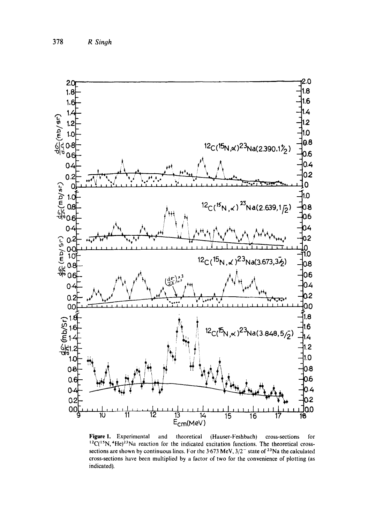

Figure 1. Experimental and theoretical (Hauser-Feshbach) cross-sections for  ${}^{12}C({}^{15}N, {}^{4}He)^{23}$ Na reaction for the indicated excitation functions. The theoretical crosssections are shown by continuous lines. For the 3.673 MeV,  $3/2^-$  state of <sup>23</sup>Na the calculated cross-sections have been multiplied by a factor of two for the convenience of plotting (as indicated).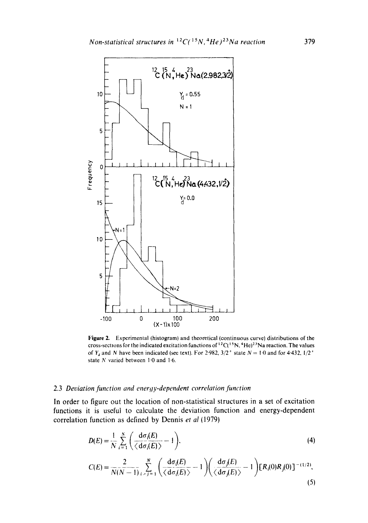

Figure 2. Experimental (histogram) and theoretical (continuous curve) distributions of the cross-sections for the indicated excitation functions of  ${}^{12}C({}^{15}N, {}^{4}He){}^{23}Na$  reaction. The values of Y<sub>a</sub> and N have been indicated (see text). For 2.982,  $3/2^+$  state  $N = 1.0$  and for 4.432,  $1/2^+$ state N varied between 1'0 and 1-6.

## 2.3 *Deviation function and energy-dependent correlation function*

In order to figure out the location of non-statistical structures in a set of excitation functions it is useful to calculate the deviation function and energy-dependent correlation function as defined by Dennis *et al* (1979)

$$
D(E) = \frac{1}{N} \sum_{i=1}^{N} \left( \frac{d\sigma_i(E)}{\langle d\sigma_i(E) \rangle} - 1 \right),
$$
 (4)

$$
C(E) = \frac{2}{N(N-1)} \sum_{i>j=1}^{N} \left( \frac{d\sigma_i(E)}{\langle d\sigma_i(E)\rangle} - 1 \right) \left( \frac{d\sigma_j(E)}{\langle d\sigma_j(E)\rangle} - 1 \right) [R_i(0)R_j(0)]^{-(1/2)},
$$
\n(5)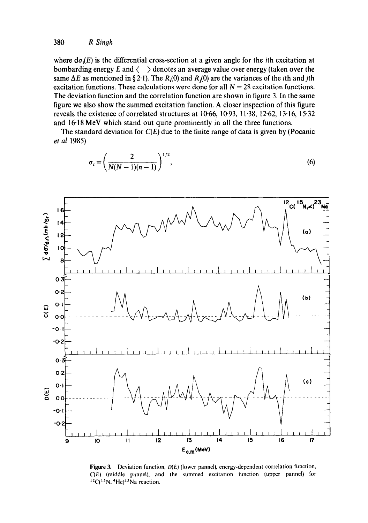where  $d\sigma_i(E)$  is the differential cross-section at a given angle for the *i*th excitation at bombarding energy E and  $\langle \rangle$  denotes an average value over energy (taken over the same  $\Delta E$  as mentioned in § 2.1). The  $R_i(0)$  and  $R_i(0)$  are the variances of the *i*th and *j*th excitation functions. These calculations were done for all  $N = 28$  excitation functions. The deviation function and the correlation function are shown in figure 3. In the same figure we also show the summed excitation function. A closer inspection of this figure reveals the existence of correlated structures at  $10-66$ ,  $10-93$ ,  $11-38$ ,  $12-62$ ,  $13-16$ ,  $15-32$ and 16.18 MeV which stand out quite prominently in all the three functions.

The standard deviation for *C(E)* due to the finite range of data is given by (Pocanic *et al* 1985)

$$
\sigma_c = \left(\frac{2}{N(N-1)(n-1)}\right)^{1/2},\tag{6}
$$



Figure 3. Deviation function,  $D(E)$  (lower pannel), energy-dependent correlation function, *C(EI* (middle pannel), and the summed excitation function (upper pannel) for  $12C(^{15}N, {}^{4}He)^{23}Na$  reaction.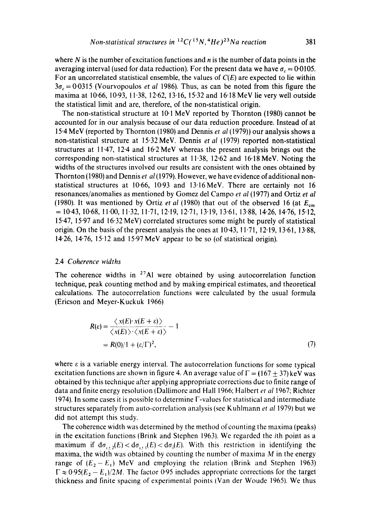where  $N$  is the number of excitation functions and  $n$  is the number of data points in the averaging interval (used for data reduction). For the present data we have  $\sigma_c = 0.0105$ . For an uncorrelated statistical ensemble, the values of *C(E)* are expected to lie within  $3\sigma_c = 0.0315$  (Vourvopoulos *et al 1986)*. Thus, as can be noted from this figure the maxima at 10.66, 10.93, 11.38, 12.62, 13.16, 15.32 and 16.18 MeV lie very well outside the statistical limit and are, therefore, of the non-statistical origin.

The non-statistical structure at 10.1 MeV reported by Thornton (1980) cannot be accounted for in our analysis because of our data reduction procedure. Instead of at 15"4 MeV (reported by Thornton (1980) and Dennis *et al* (1979)) our analysis shows a non-statistical structure at 15"32 MeV. Dennis *et al* (1979) reported non-statistical structures at  $11.47$ ,  $12.4$  and  $16.2 \text{ MeV}$  whereas the present analysis brings out the corresponding non-statistical structures at 11.38, 12.62 and 16.18 MeV. Noting the widths of the structures involved our results are consistent with the ones obtained by Thornton (1980) and Dennis *et al* (1979). However, we have evidence of additional nonstatistical structures at 10.66, 10.93 and 13.16MeV. There are certainly not 16 resonances/anomalies as mentioned by Gomez del Campo *et al* (1977) and Ortiz *et al*  (1980). It was mentioned by Ortiz *et al* (1980) that out of the observed 16 (at  $E_{cm}$  $= 10.43, 10.68, 11.00, 11.32, 11.71, 12.19, 12.71, 13.19, 13.61, 13.88, 14.26, 14.76, 15.12,$ 15.47, 15.97 and 16.32 MeV) correlated structures some might be purely of statistical origin. On the basis of the present analysis the ones at  $10-43$ ,  $11-71$ ,  $12-19$ ,  $13-61$ ,  $13-88$ , 14"26, 14.76, 15.12 and 15.97 MeV appear to be so (of statistical origin).

## 2.4 *Coherence widths*

The coherence widths in  $27$ Al were obtained by using autocorrelation function technique, peak counting method and by making empirical estimates, and theoretical calculations. The autocorrelation functions were calculated by the usual formula (Ericson and Meyer-Kuckuk 1966)

$$
R(\varepsilon) = \frac{\langle x(E) \cdot x(E + \varepsilon) \rangle}{\langle x(E) \rangle \cdot \langle x(E + \varepsilon) \rangle} - 1
$$
  
=  $R(0)/1 + (\varepsilon/\Gamma)^2$ , (7)

where  $\varepsilon$  is a variable energy interval. The autocorrelation functions for some typical excitation functions are shown in figure 4. An average value of  $\Gamma = (167 \pm 37) \text{ keV}$  was obtained by this technique after applying appropriate corrections due to finite range of data and finite energy resolution [Dallimore and Hall 1966; Halbert *et a11967;* Richter 1974). In some cases it is possible to determine F-values for statistical and intermediate structures separately from auto-correlation analysis (see Kuhtmann *et al* 1979) but we did not attempt this study.

The coherence width was determined by the method of counting the maxima (peaks) in the excitation functions (Brink and Stephen 1963). We regarded the ith point as a maximum if  $d\sigma_{i+2}(E) < d\sigma_{i+1}(E) < d\sigma_i(E)$ . With this restriction in identifying the maxima, the width was obtained by counting the number of maxima  $M$  in the energy range of  $(E_2 - E_1)$  MeV and employing the relation (Brink and Stephen 1963)  $\Gamma \approx 0.95(E_2 - E_1)/2M$ . The factor 0.95 includes appropriate corrections for the target thickness and finite spacing of experimental points (Van der Woude 1965). We thus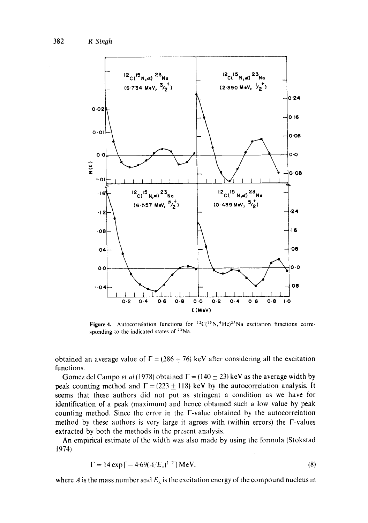

Figure 4. Autocorrelation functions for  ${}^{12}C({}^{15}N, {}^{4}He)^{23}Na$  excitation functions corresponding to the indicated states of  $23$ Na.

obtained an average value of  $\Gamma = (286 \pm 76)$  keV after considering all the excitation functions.

Gomez del Campo *et al* (1978) obtained  $\Gamma = (140 \pm 23)$  keV as the average width by peak counting method and  $\Gamma = (223 \pm 118)$  keV by the autocorrelation analysis. It seems that these authors did not put as stringent a condition as we have for identification of a peak (maximum) and hence obtained such a low value by peak counting method. Since the error in the V-value obtained by the autocorrelation method by these authors is very large it agrees with (within errors) the F-values extracted by both the methods in the present analysis.

An empirical estimate of the width was also made by using the formula (Stokstad 1974)

$$
\Gamma = 14 \exp \left[ -4.69 (A/E_x)^{1/2} \right] \text{MeV},\tag{8}
$$

where A is the mass number and  $E<sub>x</sub>$  is the excitation energy of the compound nucleus in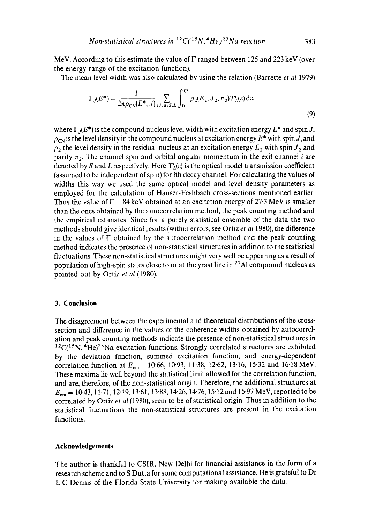MeV. According to this estimate the value of  $\Gamma$  ranged between 125 and 223 keV (over the energy range of the excitation function).

The mean level width was also calculated by using the relation (Barrette *et al* 1979)

$$
\Gamma_J(E^*) = \frac{1}{2\pi \rho_{\text{CN}}(E^*, J)} \sum_{iJ_2\pi_2 S, L} \int_0^{E^*} \rho_2(E_2, J_2, \pi_2) T_L^i(\varepsilon) \, \mathrm{d} \varepsilon,\tag{9}
$$

where  $\Gamma_i(E^*)$  is the compound nucleus level width with excitation energy  $E^*$  and spin J,  $\rho_{CN}$  is the level density in the compound nucleus at excitation energy  $E^*$  with spin J, and  $\rho_2$  the level density in the residual nucleus at an excitation energy  $E_2$  with spin  $J_2$  and parity  $\pi_2$ . The channel spin and orbital angular momentum in the exit channel *i* are denoted by S and L respectively. Here  $T<sub>L</sub>(\varepsilon)$  is the optical model transmission coefficient (assumed to be independent of spin) for ith decay channel. For calculating the values of widths this way we used the same optical model and level density parameters as employed for the calculation of Hauser-Feshbach cross-sections mentioned earlier. Thus the value of  $\Gamma = 84 \text{ keV}$  obtained at an excitation energy of 27.3 MeV is smaller than the ones obtained by the autocorrelation method, the peak counting method and the empirical estimates. Since for a purely statistical ensemble of the data the two methods should give identical results (within errors, see Ortiz *et al* 1980), the difference in the values of  $\Gamma$  obtained by the autocorrelation method and the peak counting. method indicates the presence of non-statistical structures in addition to the statistical fluctuations. These non-statistical structures might very well be appearing as a result of population of high-spin states close to or at the yrast line in  $27$ AI compound nucleus as pointed out by Ortiz *et al* (1980).

# **3. Conclusion**

The disagreement between the experimental and theoretical distributions of the crosssection and difference in the values of the coherence widths obtained by autocorrelation and peak counting methods indicate the presence of non-statistical structures in  $12C(^{15}N, 4He)^{23}Na$  excitation functions. Strongly correlated structures are exhibited by the deviation function, summed excitation function, and energy-dependent correlation function at  $E_{cm} = 10-66$ , 10.93, 11.38, 12.62, 13.16, 15.32 and 16.18 MeV. These maxima lie well beyond the statistical limit allowed for the correlation function, and are, therefore, of the non-statistical origin. Therefore, the additional structures at  $E_{cm} = 10:43, 11:71, 12:19, 13:61, 13:88, 14:26, 14:76, 15:12$  and 15.97 MeV, reported to be correlated by Ortiz *et al* (1980), seem to be of statistical origin. Thus in addition to the statistical fluctuations the non-statistical structures are present in the excitation functions.

#### **Acknowledgements**

The author is thankful to CSIR, New Delhi for financial assistance in the form of a research scheme and to S Dutta for some computational assistance. He is grateful to Dr L C Dennis of the Florida State University for making available the data.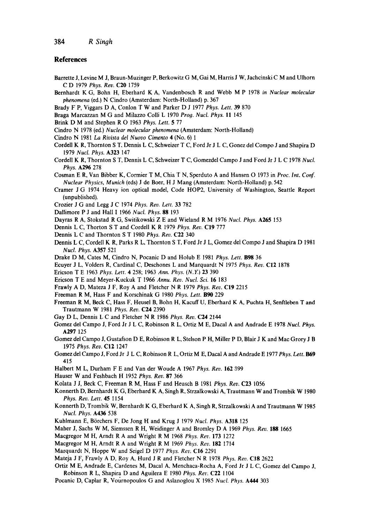## **References**

- Barrette J, Levine M J, Braun-Muzinger P, Berkowitz G M, Gai M, Harris J W, Jachcinski C M and Ulhorn C D 1979 *Phys. Rev.* C20 1759
- Bernhardt K G, Bohn H, Eberhard K A, Vandenbosch R and Webb M P 1978 *in Nuclear molecular phenomena* (ed.) N Cindro (Amsterdam: North-Holland) p. 367
- Brady F P, Viggars D A, Conlon T W and Parker D J 1977 *Phys. Lett.* 39 870
- Braga Marcazzan M G and Milazzo Colli L 1970 *Prog. Nucl. Phys.* 11 145
- Brink D M and Stephen R O 1963 *Phys. Lett.* 5 77
- Cindro N 1978 (ed.) *Nuclear molecular phenomena* (Amsterdam: North-Holland)
- Cindro N 1981 *La Rivista det Nuovo Cimento* 4 (No. 6) 1
- Cordell K R, Thornton S T, Dennis L C, Schweizer T C, Ford Jr J L C, Gonez del Compo J and Shapira D 1979 *Nucl. Phys.* A323 147
- Cordell K R, Thornton S T, Dennis L C, Schweizer T C, Gomezdel Campo J and Ford Jr J L C 1978 *Nucl. Phys.* A296 278
- Cosman E R, Van Bibber K, Cormier T M, Chia T N, Sperduto A and Hansen O 1973 in *Proc. Int. Conf. Nuclear Physics, Munich* (eds) J de Boer, H J Mang (Amsterdam: North-Holland) p. 542
- Cramer J G 1974 Heavy ion optical model, Code HOP2, University of Washington, Seattle Report (unpublished).
- Crozier J G and Legg J C 1974 *Phys. Rev. Lett.* 33 782
- Dallimore P J and Hall I 1966 *Nucl. Phys.* **88** 193
- Dayras R A, Stokstad R G, Switikowski Z E and Wieland R M 1976 *Nucl. Phys.* A265 153
- Dennis L C, Thorton S T and Cordell K R 1979 *Phys. Rev.* C19 777
- Dennis L C and Thornton S T 1980 *Phys. Rev.* C22 340
- Dennis L C, Cordell K R, Parks R L, Thornton S T, Ford Jr J L, Gomez del Compo J and Shapira D 1981 *Nucl. Phys.* A357 521
- Drake D M, Cares M, Cindro N, Pocanic D and Holub E 1981 *Phys. Lett.* B98 36
- Eeuyer J L, Voiders R, Cardinal C, Deschones L and Marquardt N 1975 *Phys. Rev.* C12 1878
- Ericson T E 1963 *Phys. Lett.* 4 258; 1963 *Ann. Phys. (N.Y.)* 23 390
- Ericson T E and Meyer-Kuckuk T 1966 *Annu. Rev. Nucl. Sci.* 16 183
- Frawly A D, Mateza J F, Roy A and Fletcher N R 1979 *Phys. Rev.* C19 2215
- Freeman R M, Hass F and Korschinak G 1980 *Phys. Lett.* B90 229
- Freeman R M, Beck C, Hass F, Heusel B, Bohn H, Kacuff U, Eberhard K A, Puchta H, Senftleben T and Trautmann W 1981 *Phys. Rev.* C24 2390
- Gay D L, Dennis L C and Fletcher N R 1986 *Phys. Rev.* C24 2144
- Gomez del Campo J, Ford Jr J L C, Robinson R L, Ortiz M E, Dacal A and Andrade E 1978 *Nucl. Phys.*  A297 125
- Gomez del Campo J, Gustafson D E, Robinson R L, Stelson P H, Miller P D, Blair J K and Mac Grory J B 1975 *Phys. Rev.* C12 1247
- Gomez del Campo J, Ford Jr J L C, Robinson R L, Ortiz M E, Dacal A and Andrade E 1977 *Phys. Lett.* **B69** 415
- Halbert M L, Durham F E and Van der Woude A 1967 *Phys. Rev.* 162 399
- Hauser W and Feshbach H 1952 *Phys. Rev.* 87 366
- Kolata J J, Beck C, Freeman R M, Hass F and Heusch B 1981 *Phys. Rev.* C23 1056
- Konnerth D, Bernhardt K G, Eberhard K A, Singh R, Strzalkowski A, Trautmann W and Trombik W 1980 *Phys. Rev. Lett.* 45 I154
- Konnerth D, Trombik W, Bernhardt K G, Eberhard K A, Singh R, Strzalkowski A and Trautmann W 1985 *Nucl. Phys.* A436 538
- Kuhlmann E, B6rchers F, De Jong H and Krug J 1979 *Nucl. Phys.* A318 125
- Maher J, Sachs W M, Siemssen R H, Weidinger A and Bromley D A 1969 *Phys. Rev.* 188 1665
- Macgregor M H, Arndt R A and Wright R M 1968 *Phys. Rev.* 173 1272
- Macgregor M H, Arndt R A and Wright R M 1969 *Phys. Rev.* 182 1714
- Marquardt N, Hoppe W and Seigel D 1977 Phys. Rev. C16 2291
- Mateja J F, Frawly A D, Roy A, Hurd J R and Fletcher N R 1978 *Phys. Rev.* C18 2622
- Ortiz M E, Andrade E, Cardenes M, Dacal A, Menchaca-Rocha A, Ford Jr J L C, Gomez del Campo J, Robinson R L, Shapira D and Aguilera E 1980 *Phys. Ret'.* C22 1104
- Pocanic D, Caplar R, Vournopoulos G and Aslanoglou X 1985 *Nucl. Phys.* A444 303